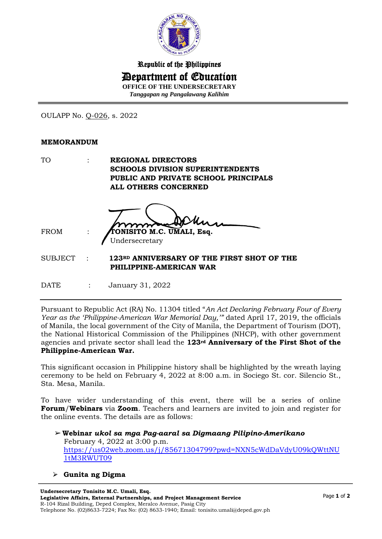

Republic of the Philippines Department of Education **OFFICE OF THE UNDERSECRETARY** *Tanggapan ng Pangalawang Kalihim*

OULAPP No. Q-026, s. 2022

## **MEMORANDUM**

| TO      | <b>REGIONAL DIRECTORS</b>                                             |
|---------|-----------------------------------------------------------------------|
|         | <b>SCHOOLS DIVISION SUPERINTENDENTS</b>                               |
|         | PUBLIC AND PRIVATE SCHOOL PRINCIPALS                                  |
|         | <b>ALL OTHERS CONCERNED</b>                                           |
| FROM    | TONISITO M.C. UMALI, Esq.<br>Undersecretary                           |
| SUBJECT | 123RD ANNIVERSARY OF THE FIRST SHOT OF THE<br>PHILIPPINE-AMERICAN WAR |
|         |                                                                       |

DATE : January 31, 2022

Pursuant to Republic Act (RA) No. 11304 titled "*An Act Declaring February Four of Every Year as the 'Philippine-American War Memorial Day,'"* dated April 17, 2019, the officials of Manila, the local government of the City of Manila, the Department of Tourism (DOT), the National Historical Commission of the Philippines (NHCP), with other government agencies and private sector shall lead the **123rd Anniversary of the First Shot of the Philippine-American War.**

This significant occasion in Philippine history shall be highlighted by the wreath laying ceremony to be held on February 4, 2022 at 8:00 a.m. in Sociego St. cor. Silencio St., Sta. Mesa, Manila.

To have wider understanding of this event, there will be a series of online **Forum**/**Webinars** via **Zoom**. Teachers and learners are invited to join and register for the online events. The details are as follows:

- ➢**Webinar** *ukol sa mga Pag-aaral sa Digmaang Pilipino-Amerikano* February 4, 2022 at 3:00 p.m. [https://us02web.zoom.us/j/85671304799?pwd=NXN5cWdDaVdyU09kQWttNU](https://us02web.zoom.us/j/85671304799?pwd=NXN5cWdDaVdyU09kQWttNU1tM3RWUT09) [1tM3RWUT09](https://us02web.zoom.us/j/85671304799?pwd=NXN5cWdDaVdyU09kQWttNU1tM3RWUT09)
- ⮚ **Gunita ng Digma**